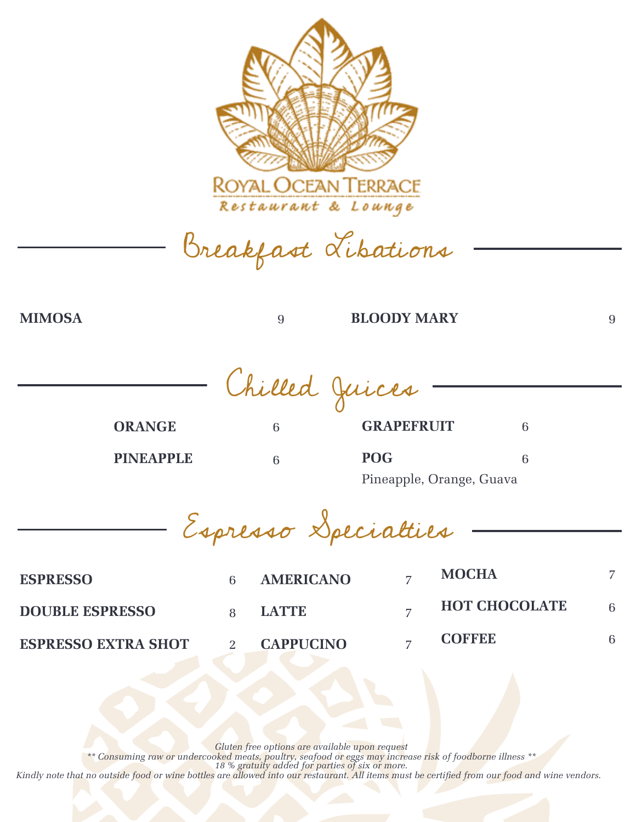

Breakfast Libations

## **MIMOSA** 9 **BLOODY MARY** 9

Chilled Juices

**ORANGE** 6 **PINEAPPLE** 6

**GRAPEFRUIT** 6 **POG** 6 Pineapple, Orange, Guava

Espresso Specialties

| <b>ESPRESSO</b>            | <b>AMERICANO</b> | <b>MOCHA</b>         |  |
|----------------------------|------------------|----------------------|--|
| <b>DOUBLE ESPRESSO</b>     | LATTE.           | <b>HOT CHOCOLATE</b> |  |
| <b>ESPRESSO EXTRA SHOT</b> | <b>CAPPUCINO</b> | <b>COFFEE</b>        |  |

*Gluten free options are available upon request*

*\*\* Consuming raw or undercooked meats, poultry, seafood or eggs may increase risk of foodborne illness \*\* 18 % gratuity added for parties of six or more.*

Kindly note that no outside food or wine bottles are allowed into our restaurant. All items must be certified from our food and wine vendors.